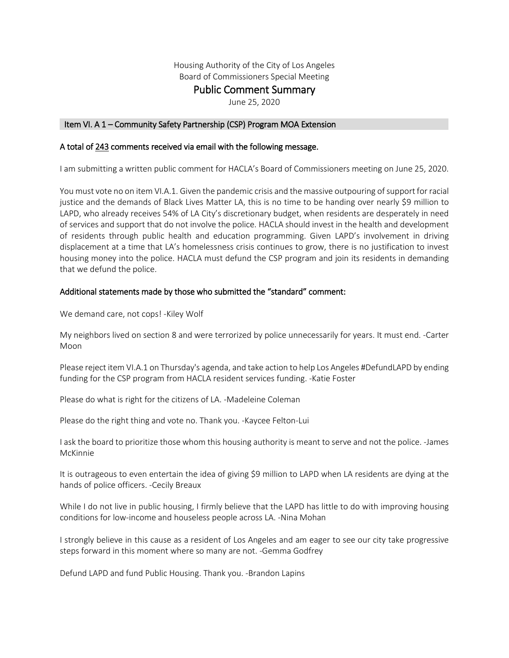Housing Authority of the City of Los Angeles

Board of Commissioners Special Meeting

# Public Comment Summary<br>June 25, 2020

## Item VI. A 1 – Community Safety Partnership (CSP) Program MOA Extension

## A total of 243 comments received via email with the following message.

I am submitting a written public comment for HACLA's Board of Commissioners meeting on June 25, 2020.

You must vote no on item VI.A.1. Given the pandemic crisis and the massive outpouring of support for racial justice and the demands of Black Lives Matter LA, this is no time to be handing over nearly \$9 million to LAPD, who already receives 54% of LA City's discretionary budget, when residents are desperately in need of services and support that do not involve the police. HACLA should invest in the health and development of residents through public health and education programming. Given LAPD's involvement in driving displacement at a time that LA's homelessness crisis continues to grow, there is no justification to invest housing money into the police. HACLA must defund the CSP program and join its residents in demanding that we defund the police.

## Additional statements made by those who submitted the "standard" comment:

We demand care, not cops! -Kiley Wolf

My neighbors lived on section 8 and were terrorized by police unnecessarily for years. It must end. -Carter Moon

Please reject item VI.A.1 on Thursday's agenda, and take action to help Los Angeles #DefundLAPD by ending funding for the CSP program from HACLA resident services funding. -Katie Foster

Please do what is right for the citizens of LA. -Madeleine Coleman

Please do the right thing and vote no. Thank you. -Kaycee Felton-Lui

I ask the board to prioritize those whom this housing authority is meant to serve and not the police. -James McKinnie

It is outrageous to even entertain the idea of giving \$9 million to LAPD when LA residents are dying at the hands of police officers. -Cecily Breaux

While I do not live in public housing, I firmly believe that the LAPD has little to do with improving housing conditions for low-income and houseless people across LA. -Nina Mohan

I strongly believe in this cause as a resident of Los Angeles and am eager to see our city take progressive steps forward in this moment where so many are not. -Gemma Godfrey

Defund LAPD and fund Public Housing. Thank you. -Brandon Lapins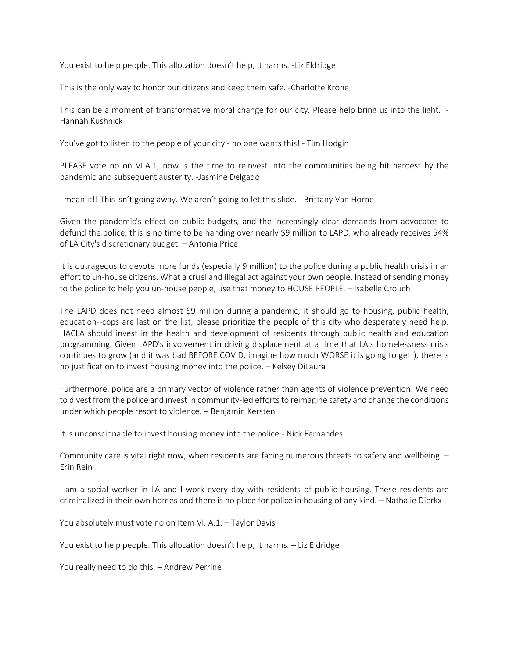You exist to help people. This allocation doesn't help, it harms. -Liz Eldridge

This is the only way to honor our citizens and keep them safe. -Charlotte Krone

This can be a moment of transformative moral change for our city. Please help bring us into the light. - Hannah Kushnick

You've got to listen to the people of your city - no one wants this! - Tim Hodgin

PLEASE vote no on VI.A.1, now is the time to reinvest into the communities being hit hardest by the pandemic and subsequent austerity. -Jasmine Delgado

I mean it!! This isn't going away. We aren't going to let this slide. -Brittany Van Horne

Given the pandemic's effect on public budgets, and the increasingly clear demands from advocates to defund the police, this is no time to be handing over nearly \$9 million to LAPD, who already receives 54% of LA City's discretionary budget. – Antonia Price

It is outrageous to devote more funds (especially 9 million) to the police during a public health crisis in an effort to un-house citizens. What a cruel and illegal act against your own people. Instead of sending money to the police to help you un-house people, use that money to HOUSE PEOPLE. – Isabelle Crouch

The LAPD does not need almost \$9 million during a pandemic, it should go to housing, public health, education--cops are last on the list, please prioritize the people of this city who desperately need help. HACLA should invest in the health and development of residents through public health and education programming. Given LAPD's involvement in driving displacement at a time that LA's homelessness crisis continues to grow (and it was bad BEFORE COVID, imagine how much WORSE it is going to get!), there is no justification to invest housing money into the police. – Kelsey DiLaura

Furthermore, police are a primary vector of violence rather than agents of violence prevention. We need to divest from the police and invest in community-led efforts to reimagine safety and change the conditions under which people resort to violence. – Benjamin Kersten

It is unconscionable to invest housing money into the police.- Nick Fernandes

Community care is vital right now, when residents are facing numerous threats to safety and wellbeing. – Erin Rein

I am a social worker in LA and I work every day with residents of public housing. These residents are criminalized in their own homes and there is no place for police in housing of any kind. – Nathalie Dierkx

You absolutely must vote no on Item VI. A.1. – Taylor Davis

You exist to help people. This allocation doesn't help, it harms. – Liz Eldridge

You really need to do this. – Andrew Perrine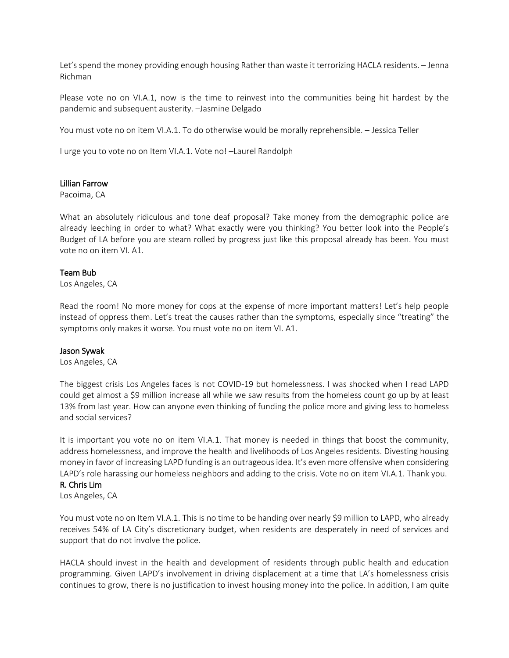Let's spend the money providing enough housing Rather than waste it terrorizing HACLA residents. – Jenna Richman

Please vote no on VI.A.1, now is the time to reinvest into the communities being hit hardest by the pandemic and subsequent austerity. –Jasmine Delgado

You must vote no on item VI.A.1. To do otherwise would be morally reprehensible. – Jessica Teller

I urge you to vote no on Item VI.A.1. Vote no! –Laurel Randolph

#### Lillian Farrow

Pacoima, CA

What an absolutely ridiculous and tone deaf proposal? Take money from the demographic police are already leeching in order to what? What exactly were you thinking? You better look into the People's Budget of LA before you are steam rolled by progress just like this proposal already has been. You must vote no on item VI. A1.

#### Team Bub

Los Angeles, CA

Read the room! No more money for cops at the expense of more important matters! Let's help people instead of oppress them. Let's treat the causes rather than the symptoms, especially since "treating" the symptoms only makes it worse. You must vote no on item VI. A1.

#### Jason Sywak

Los Angeles, CA

The biggest crisis Los Angeles faces is not COVID-19 but homelessness. I was shocked when I read LAPD could get almost a \$9 million increase all while we saw results from the homeless count go up by at least 13% from last year. How can anyone even thinking of funding the police more and giving less to homeless and social services?

It is important you vote no on item VI.A.1. That money is needed in things that boost the community, address homelessness, and improve the health and livelihoods of Los Angeles residents. Divesting housing money in favor of increasing LAPD funding is an outrageous idea. It's even more offensive when considering LAPD's role harassing our homeless neighbors and adding to the crisis. Vote no on item VI.A.1. Thank you.

## R. Chris Lim

Los Angeles, CA

You must vote no on Item VI.A.1. This is no time to be handing over nearly \$9 million to LAPD, who already receives 54% of LA City's discretionary budget, when residents are desperately in need of services and support that do not involve the police.

HACLA should invest in the health and development of residents through public health and education programming. Given LAPD's involvement in driving displacement at a time that LA's homelessness crisis continues to grow, there is no justification to invest housing money into the police. In addition, I am quite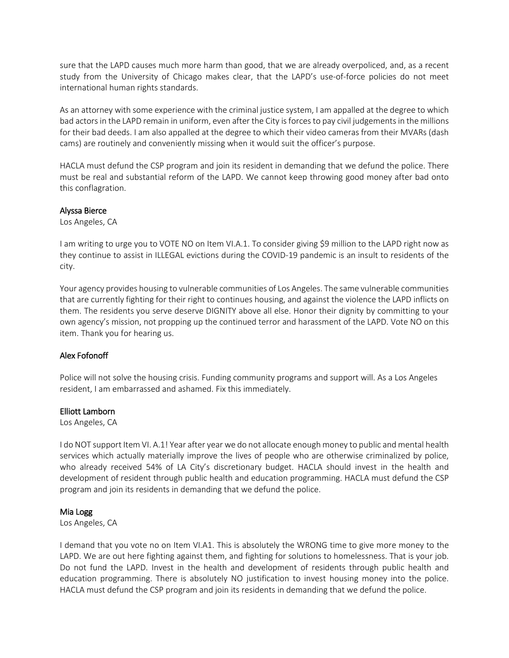sure that the LAPD causes much more harm than good, that we are already overpoliced, and, as a recent study from the University of Chicago makes clear, that the LAPD's use-of-force policies do not meet international human rights standards.

As an attorney with some experience with the criminal justice system, I am appalled at the degree to which bad actors in the LAPD remain in uniform, even after the City is forces to pay civil judgements in the millions for their bad deeds. I am also appalled at the degree to which their video cameras from their MVARs (dash cams) are routinely and conveniently missing when it would suit the officer's purpose.

HACLA must defund the CSP program and join its resident in demanding that we defund the police. There must be real and substantial reform of the LAPD. We cannot keep throwing good money after bad onto this conflagration.

# Alyssa Bierce

Los Angeles, CA

I am writing to urge you to VOTE NO on Item VI.A.1. To consider giving \$9 million to the LAPD right now as they continue to assist in ILLEGAL evictions during the COVID-19 pandemic is an insult to residents of the city.

Your agency provides housing to vulnerable communities of Los Angeles. The same vulnerable communities that are currently fighting for their right to continues housing, and against the violence the LAPD inflicts on them. The residents you serve deserve DIGNITY above all else. Honor their dignity by committing to your own agency's mission, not propping up the continued terror and harassment of the LAPD. Vote NO on this item. Thank you for hearing us.

# Alex Fofonoff

Police will not solve the housing crisis. Funding community programs and support will. As a Los Angeles resident, I am embarrassed and ashamed. Fix this immediately.

## Elliott Lamborn

Los Angeles, CA

I do NOT support Item VI. A.1! Year after year we do not allocate enough money to public and mental health services which actually materially improve the lives of people who are otherwise criminalized by police, who already received 54% of LA City's discretionary budget. HACLA should invest in the health and development of resident through public health and education programming. HACLA must defund the CSP program and join its residents in demanding that we defund the police.

## Mia Logg

Los Angeles, CA

I demand that you vote no on Item VI.A1. This is absolutely the WRONG time to give more money to the LAPD. We are out here fighting against them, and fighting for solutions to homelessness. That is your job. Do not fund the LAPD. Invest in the health and development of residents through public health and education programming. There is absolutely NO justification to invest housing money into the police. HACLA must defund the CSP program and join its residents in demanding that we defund the police.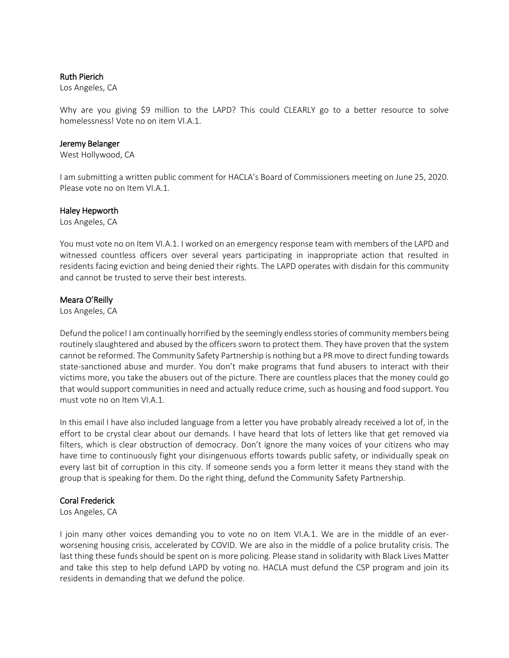## Ruth Pierich

Los Angeles, CA

Why are you giving \$9 million to the LAPD? This could CLEARLY go to a better resource to solve homelessness! Vote no on item VI.A.1.

#### Jeremy Belanger

West Hollywood, CA

I am submitting a written public comment for HACLA's Board of Commissioners meeting on June 25, 2020. Please vote no on Item VI.A.1.

#### Haley Hepworth

Los Angeles, CA

You must vote no on Item VI.A.1. I worked on an emergency response team with members of the LAPD and witnessed countless officers over several years participating in inappropriate action that resulted in residents facing eviction and being denied their rights. The LAPD operates with disdain for this community and cannot be trusted to serve their best interests.

#### Meara O'Reilly

Los Angeles, CA

Defund the police! I am continually horrified by the seemingly endless stories of community members being routinely slaughtered and abused by the officers sworn to protect them. They have proven that the system cannot be reformed. The Community Safety Partnership is nothing but a PR move to direct funding towards state-sanctioned abuse and murder. You don't make programs that fund abusers to interact with their victims more, you take the abusers out of the picture. There are countless places that the money could go that would support communities in need and actually reduce crime, such as housing and food support. You must vote no on Item VI.A.1.

In this email I have also included language from a letter you have probably already received a lot of, in the effort to be crystal clear about our demands. I have heard that lots of letters like that get removed via filters, which is clear obstruction of democracy. Don't ignore the many voices of your citizens who may have time to continuously fight your disingenuous efforts towards public safety, or individually speak on every last bit of corruption in this city. If someone sends you a form letter it means they stand with the group that is speaking for them. Do the right thing, defund the Community Safety Partnership.

## Coral Frederick

Los Angeles, CA

I join many other voices demanding you to vote no on Item VI.A.1. We are in the middle of an everworsening housing crisis, accelerated by COVID. We are also in the middle of a police brutality crisis. The last thing these funds should be spent on is more policing. Please stand in solidarity with Black Lives Matter and take this step to help defund LAPD by voting no. HACLA must defund the CSP program and join its residents in demanding that we defund the police.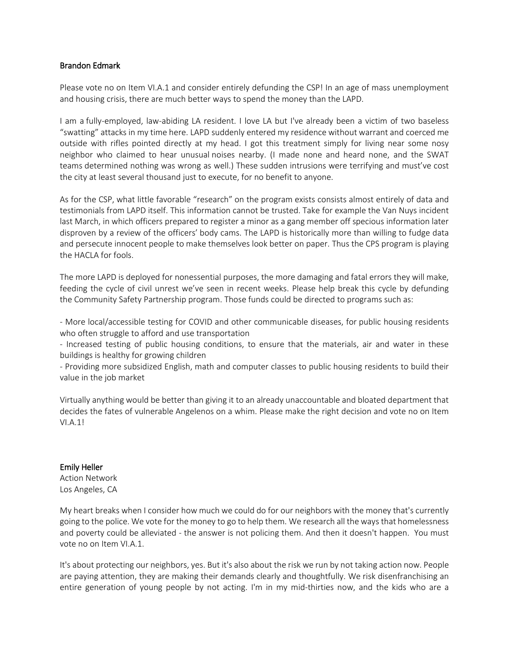#### Brandon Edmark

Please vote no on Item VI.A.1 and consider entirely defunding the CSP! In an age of mass unemployment and housing crisis, there are much better ways to spend the money than the LAPD.

I am a fully-employed, law-abiding LA resident. I love LA but I've already been a victim of two baseless "swatting" attacks in my time here. LAPD suddenly entered my residence without warrant and coerced me outside with rifles pointed directly at my head. I got this treatment simply for living near some nosy neighbor who claimed to hear unusual noises nearby. (I made none and heard none, and the SWAT teams determined nothing was wrong as well.) These sudden intrusions were terrifying and must've cost the city at least several thousand just to execute, for no benefit to anyone.

As for the CSP, what little favorable "research" on the program [exists consists almost entirely of data and](https://www.urban.org/research/publication/los-angeles-community-safety-partnership-2019-assessment/view/full_report)  [testimonials from LAPD itself.](https://www.urban.org/research/publication/los-angeles-community-safety-partnership-2019-assessment/view/full_report) This information cannot be trusted. Take for example the [Van Nuys incident](https://lasentinel.net/sentinel-exclusive-chief-moore-responds-to-lapd-corruption-allegations.html)  [last March,](https://lasentinel.net/sentinel-exclusive-chief-moore-responds-to-lapd-corruption-allegations.html) in which officers prepared to register a minor as a gang member off specious information later disproven by a review of the officers' body cams. The LAPD is historically more than willing to fudge data and persecute innocent people to make themselves look better on paper. Thus the CPS program is playing the HACLA for fools.

The more LAPD is deployed for nonessential purposes, the more damaging and fatal errors they will make, feeding the cycle of civil unrest we've seen in recent weeks. Please help break this cycle by defunding the Community Safety Partnership program. Those funds could be directed to programs such as:

- More local/accessible testing for COVID and other communicable diseases, for public housing residents who often struggle to afford and use transportation

- Increased testing of public housing conditions, to ensure that the materials, air and water in these buildings is healthy for growing children

- Providing more subsidized English, math and computer classes to public housing residents to build their value in the job market

Virtually anything would be better than giving it to an already unaccountable and bloated department that decides the fates of vulnerable Angelenos on a whim. Please make the right decision and vote no on Item VI.A.1!

## Emily Heller

Action Network Los Angeles, CA

My heart breaks when I consider how much we could do for our neighbors with the money that's currently going to the police. We vote for the money to go to help them. We research all the ways that homelessness and poverty could be alleviated - the answer is not policing them. And then it doesn't happen. You must vote no on Item VI.A.1.

It's about protecting our neighbors, yes. But it's also about the risk we run by not taking action now. People are paying attention, they are making their demands clearly and thoughtfully. We risk disenfranchising an entire generation of young people by not acting. I'm in my mid-thirties now, and the kids who are a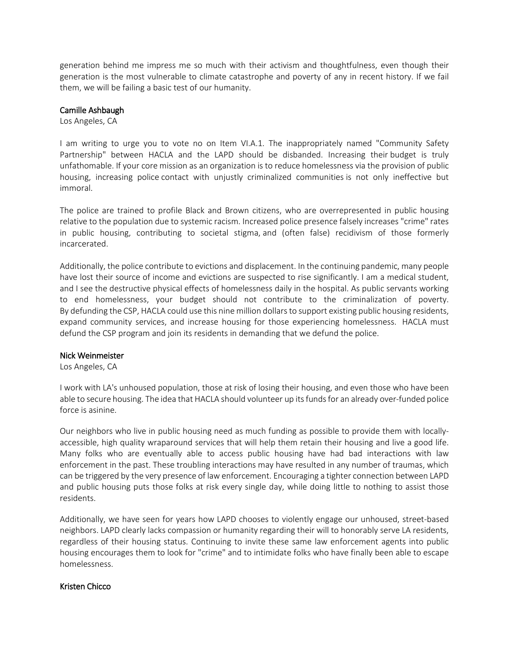generation behind me impress me so much with their activism and thoughtfulness, even though their generation is the most vulnerable to climate catastrophe and poverty of any in recent history. If we fail them, we will be failing a basic test of our humanity.

#### Camille Ashbaugh

Los Angeles, CA

I am writing to urge you to vote no on Item VI.A.1. The inappropriately named "Community Safety Partnership" between HACLA and the LAPD should be disbanded. Increasing their budget is truly unfathomable. If your core mission as an organization is to reduce homelessness via the provision of public housing, increasing police contact with unjustly criminalized communities is not only ineffective but immoral.

The police are trained to profile Black and Brown citizens, who are overrepresented in public housing relative to the population due to systemic racism. Increased police presence falsely increases "crime" rates in public housing, contributing to societal stigma, and (often false) recidivism of those formerly incarcerated.

Additionally, the police contribute to evictions and displacement. In the continuing pandemic, many people have lost their source of income and evictions are suspected to rise significantly. I am a medical student, and I see the destructive physical effects of homelessness daily in the hospital. As public servants working to end homelessness, your budget should not contribute to the criminalization of poverty. By defunding the CSP, HACLA could use this nine million dollars to support existing public housing residents, expand community services, and increase housing for those experiencing homelessness. HACLA must defund the CSP program and join its residents in demanding that we defund the police.

#### Nick Weinmeister

Los Angeles, CA

I work with LA's unhoused population, those at risk of losing their housing, and even those who have been able to secure housing. The idea that HACLA should volunteer up its funds for an already over-funded police force is asinine.

Our neighbors who live in public housing need as much funding as possible to provide them with locallyaccessible, high quality wraparound services that will help them retain their housing and live a good life. Many folks who are eventually able to access public housing have had bad interactions with law enforcement in the past. These troubling interactions may have resulted in any number of traumas, which can be triggered by the very presence of law enforcement. Encouraging a tighter connection between LAPD and public housing puts those folks at risk every single day, while doing little to nothing to assist those residents.

Additionally, we have seen for years how LAPD chooses to violently engage our unhoused, street-based neighbors. LAPD clearly lacks compassion or humanity regarding their will to honorably serve LA residents, regardless of their housing status. Continuing to invite these same law enforcement agents into public housing encourages them to look for "crime" and to intimidate folks who have finally been able to escape homelessness.

#### Kristen Chicco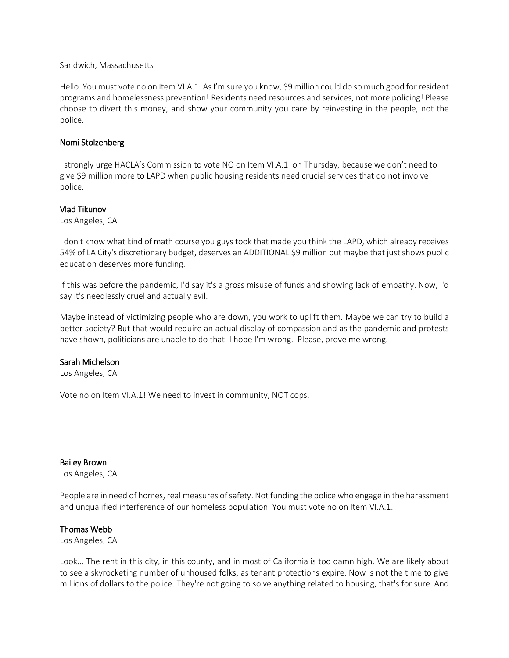#### Sandwich, Massachusetts

Hello. You must vote no on Item VI.A.1. As I'm sure you know, \$9 million could do so much good for resident programs and homelessness prevention! Residents need resources and services, not more policing! Please choose to divert this money, and show your community you care by reinvesting in the people, not the police.

## Nomi Stolzenberg

I strongly urge [HACLA's Commission to vote NO on Item VI.A.1](https://u1584542.ct.sendgrid.net/ss/c/P8Elou2Rvc0qoMPEUZrMXcOpy_XqN4R2ZGjoK-5zZnmfwJnaveTxEd-Tdg-bWHRJB6FE7De_E7VbUladV4v9iQ831sZum9BPQsgRULJSOs6HUojzbimny5uh5IbWx8TGRSMzZzuVAEtO2ZMrIGxae08Y5mgXl5s0s0OD3XQRQ_CK3cb2aFTONVadgFQFumsHLdUWyxporsrbkQjJmh2Xdex03fam8whmjjxavEMHFerH-ZyV-P4gI7iEhbDx0X75RsGxKQnrb30tJKEXjOVVaI8jb0OBdAWvjJRWxmcQxUO8zQEDAuxGmL46N1gvbVOHBRnDEX-Fq-d7Rv5anaQTM1lXLkiwb9XSh0WwyyI5TiZ8D769Rcki99qsuO7x96IU/32v/xWKEQH88QZm6BG03Ge3w0g/h2/Byi9ed9k3cdHzU1MOAjRUEfrcmezAKba1TPBweR-vjQ) on Thursday, because we don't need to give [\\$9 million more to LAPD when public housing residents need crucial services that do not involve](https://u1584542.ct.sendgrid.net/ss/c/P8Elou2Rvc0qoMPEUZrMXcOpy_XqN4R2ZGjoK-5zZnmfwJnaveTxEd-Tdg-bWHRJB6FE7De_E7VbUladV4v9iQ831sZum9BPQsgRULJSOs6HUojzbimny5uh5IbWx8TGRSMzZzuVAEtO2ZMrIGxae08Y5mgXl5s0s0OD3XQRQ_CK3cb2aFTONVadgFQFumsHLdUWyxporsrbkQjJmh2Xdex03fam8whmjjxavEMHFerH-ZyV-P4gI7iEhbDx0X75RsGxKQnrb30tJKEXjOVVaI8jb0OBdAWvjJRWxmcQxUO8zQEDAuxGmL46N1gvbVOHBRnDEX-Fq-d7Rv5anaQTM1lXLkiwb9XSh0WwyyI5TiZ8D769Rcki99qsuO7x96IU/32v/xWKEQH88QZm6BG03Ge3w0g/h2/Byi9ed9k3cdHzU1MOAjRUEfrcmezAKba1TPBweR-vjQ)  [police.](https://u1584542.ct.sendgrid.net/ss/c/P8Elou2Rvc0qoMPEUZrMXcOpy_XqN4R2ZGjoK-5zZnmfwJnaveTxEd-Tdg-bWHRJB6FE7De_E7VbUladV4v9iQ831sZum9BPQsgRULJSOs6HUojzbimny5uh5IbWx8TGRSMzZzuVAEtO2ZMrIGxae08Y5mgXl5s0s0OD3XQRQ_CK3cb2aFTONVadgFQFumsHLdUWyxporsrbkQjJmh2Xdex03fam8whmjjxavEMHFerH-ZyV-P4gI7iEhbDx0X75RsGxKQnrb30tJKEXjOVVaI8jb0OBdAWvjJRWxmcQxUO8zQEDAuxGmL46N1gvbVOHBRnDEX-Fq-d7Rv5anaQTM1lXLkiwb9XSh0WwyyI5TiZ8D769Rcki99qsuO7x96IU/32v/xWKEQH88QZm6BG03Ge3w0g/h2/Byi9ed9k3cdHzU1MOAjRUEfrcmezAKba1TPBweR-vjQ) 

## Vlad Tikunov

Los Angeles, CA

I don't know what kind of math course you guys took that made you think the LAPD, which already receives 54% of LA City's discretionary budget, deserves an ADDITIONAL \$9 million but maybe that just shows public education deserves more funding.

If this was before the pandemic, I'd say it's a gross misuse of funds and showing lack of empathy. Now, I'd say it's needlessly cruel and actually evil.

Maybe instead of victimizing people who are down, you work to uplift them. Maybe we can try to build a better society? But that would require an actual display of compassion and as the pandemic and protests have shown, politicians are unable to do that. I hope I'm wrong. Please, prove me wrong.

## Sarah Michelson

Los Angeles, CA

Vote no on Item VI.A.1! We need to invest in community, NOT cops.

## Bailey Brown

Los Angeles, CA

People are in need of homes, real measures of safety. Not funding the police who engage in the harassment and unqualified interference of our homeless population. You must vote no on Item VI.A.1.

## Thomas Webb

Los Angeles, CA

Look... The rent in this city, in this county, and in most of California is too damn high. We are likely about to see a skyrocketing number of unhoused folks, as tenant protections expire. Now is not the time to give millions of dollars to the police. They're not going to solve anything related to housing, that's for sure. And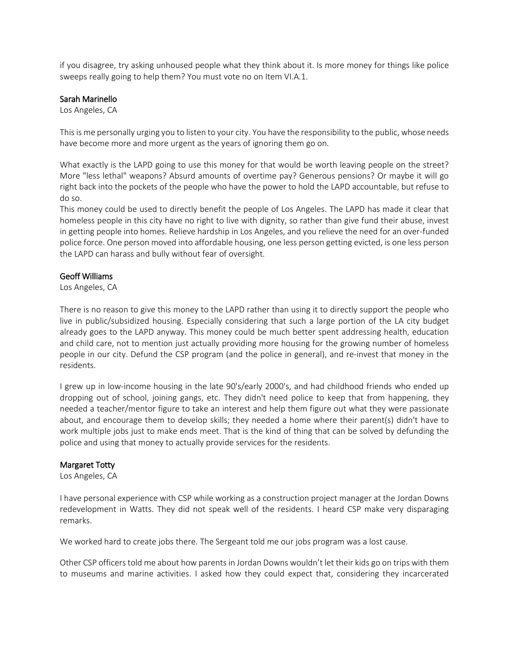if you disagree, try asking unhoused people what they think about it. Is more money for things like police sweeps really going to help them? You must vote no on Item VI.A.1.

#### Sarah Marinello

Los Angeles, CA

This is me personally urging you to listen to your city. You have the responsibility to the public, whose needs have become more and more urgent as the years of ignoring them go on.

What exactly is the LAPD going to use this money for that would be worth leaving people on the street? More "less lethal" weapons? Absurd amounts of overtime pay? Generous pensions? Or maybe it will go right back into the pockets of the people who have the power to hold the LAPD accountable, but refuse to do so.

This money could be used to directly benefit the people of Los Angeles. The LAPD has made it clear that homeless people in this city have no right to live with dignity, so rather than give fund their abuse, invest in getting people into homes. Relieve hardship in Los Angeles, and you relieve the need for an over-funded police force. One person moved into affordable housing, one less person getting evicted, is one less person the LAPD can harass and bully without fear of oversight.

#### Geoff Williams

Los Angeles, CA

There is no reason to give this money to the LAPD rather than using it to directly support the people who live in public/subsidized housing. Especially considering that such a large portion of the LA city budget already goes to the LAPD anyway. This money could be much better spent addressing health, education and child care, not to mention just actually providing more housing for the growing number of homeless people in our city. Defund the CSP program (and the police in general), and re-invest that money in the residents.

I grew up in low-income housing in the late 90's/early 2000's, and had childhood friends who ended up dropping out of school, joining gangs, etc. They didn't need police to keep that from happening, they needed a teacher/mentor figure to take an interest and help them figure out what they were passionate about, and encourage them to develop skills; they needed a home where their parent(s) didn't have to work multiple jobs just to make ends meet. That is the kind of thing that can be solved by defunding the police and using that money to actually provide services for the residents.

#### Margaret Totty

Los Angeles, CA

I have personal experience with CSP while working as a construction project manager at the Jordan Downs redevelopment in Watts. They did not speak well of the residents. I heard CSP make very disparaging remarks.

We worked hard to create jobs there. The Sergeant told me our jobs program was a lost cause.

Other CSP officers told me about how parents in Jordan Downs wouldn't let their kids go on trips with them to museums and marine activities. I asked how they could expect that, considering they incarcerated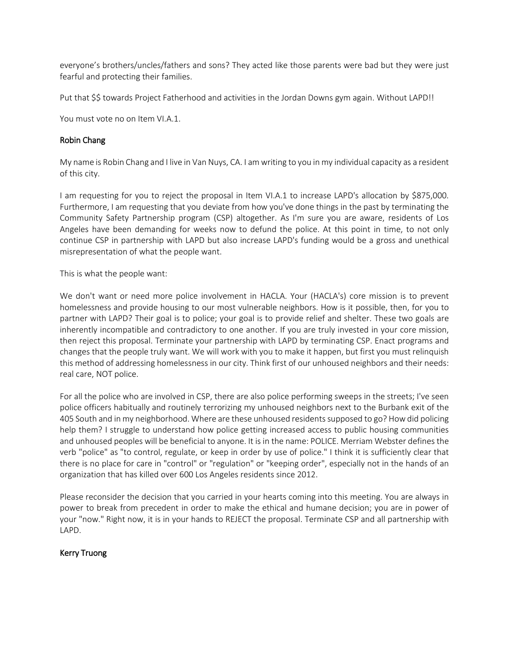everyone's brothers/uncles/fathers and sons? They acted like those parents were bad but they were just fearful and protecting their families.

Put that \$\$ towards Project Fatherhood and activities in the Jordan Downs gym again. Without LAPD!!

You must vote no on Item VI.A.1.

## Robin Chang

My name is Robin Chang and I live in Van Nuys, CA. I am writing to you in my individual capacity as a resident of this city.

I am requesting for you to reject the proposal in Item VI.A.1 to increase LAPD's allocation by \$875,000. Furthermore, I am requesting that you deviate from how you've done things in the past by terminating the Community Safety Partnership program (CSP) altogether. As I'm sure you are aware, residents of Los Angeles have been demanding for weeks now to defund the police. At this point in time, to not only continue CSP in partnership with LAPD but also increase LAPD's funding would be a gross and unethical misrepresentation of what the people want.

This is what the people want:

We don't want or need more police involvement in HACLA. Your (HACLA's) core mission is to prevent homelessness and provide housing to our most vulnerable neighbors. How is it possible, then, for you to partner with LAPD? Their goal is to police; your goal is to provide relief and shelter. These two goals are inherently incompatible and contradictory to one another. If you are truly invested in your core mission, then reject this proposal. Terminate your partnership with LAPD by terminating CSP. Enact programs and changes that the people truly want. We will work with you to make it happen, but first you must relinquish this method of addressing homelessness in our city. Think first of our unhoused neighbors and their needs: real care, NOT police.

For all the police who are involved in CSP, there are also police performing sweeps in the streets; I've seen police officers habitually and routinely terrorizing my unhoused neighbors next to the Burbank exit of the 405 South and in my neighborhood. Where are these unhoused residents supposed to go? How did policing help them? I struggle to understand how police getting increased access to public housing communities and unhoused peoples will be beneficial to anyone. It is in the name: POLICE. Merriam Webster defines the verb "police" as "to control, regulate, or keep in order by use of police." I think it is sufficiently clear that there is no place for care in "control" or "regulation" or "keeping order", especially not in the hands of an organization that has killed over 600 Los Angeles residents since 2012.

Please reconsider the decision that you carried in your hearts coming into this meeting. You are always in power to break from precedent in order to make the ethical and humane decision; you are in power of your "now." Right now, it is in your hands to REJECT the proposal. Terminate CSP and all partnership with LAPD.

## Kerry Truong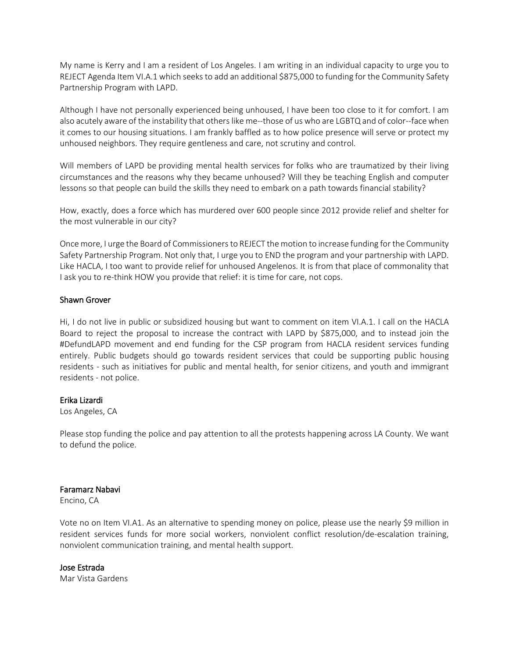My name is Kerry and I am a resident of Los Angeles. I am writing in an individual capacity to urge you to REJECT Agenda Item VI.A.1 which seeks to add an additional \$875,000 to funding for the Community Safety Partnership Program with LAPD.

Although I have not personally experienced being unhoused, I have been too close to it for comfort. I am also acutely aware of the instability that others like me--those of us who are LGBTQ and of color--face when it comes to our housing situations. I am frankly baffled as to how police presence will serve or protect my unhoused neighbors. They require gentleness and care, not scrutiny and control.

Will members of LAPD be providing mental health services for folks who are traumatized by their living circumstances and the reasons why they became unhoused? Will they be teaching English and computer lessons so that people can build the skills they need to embark on a path towards financial stability?

How, exactly, does a force which has murdered over 600 people since 2012 provide relief and shelter for the most vulnerable in our city?

Once more, I urge the Board of Commissioners to REJECT the motion to increase funding for the Community Safety Partnership Program. Not only that, I urge you to END the program and your partnership with LAPD. Like HACLA, I too want to provide relief for unhoused Angelenos. It is from that place of commonality that I ask you to re-think HOW you provide that relief: it is time for care, not cops.

## Shawn Grover

Hi, I do not live in public or subsidized housing but want to comment on item VI.A.1. I call on the HACLA Board to reject the proposal to increase the contract with LAPD by \$875,000, and to instead join the #DefundLAPD movement and end funding for the CSP program from HACLA resident services funding entirely. Public budgets should go towards resident services that could be supporting public housing residents - such as initiatives for public and mental health, for senior citizens, and youth and immigrant residents - not police.

## Erika Lizardi

Los Angeles, CA

Please stop funding the police and pay attention to all the protests happening across LA County. We want to defund the police.

## Faramarz Nabavi

Encino, CA

Vote no on Item VI.A1. As an alternative to spending money on police, please use the nearly \$9 million in resident services funds for more social workers, nonviolent conflict resolution/de-escalation training, nonviolent communication training, and mental health support.

## Jose Estrada

Mar Vista Gardens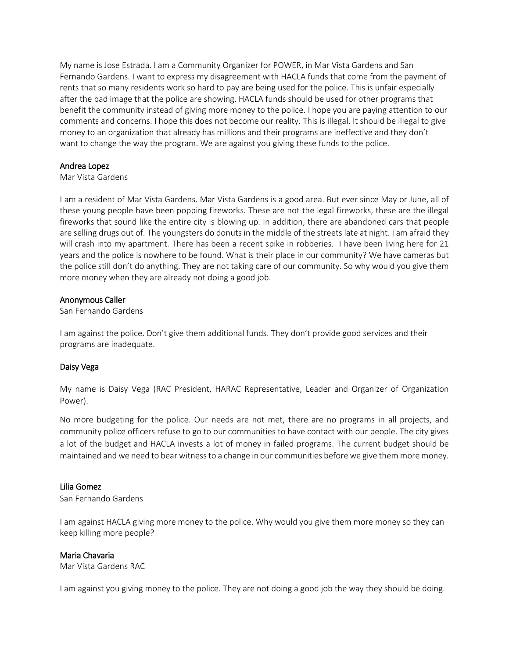My name is Jose Estrada. I am a Community Organizer for POWER, in Mar Vista Gardens and San Fernando Gardens. I want to express my disagreement with HACLA funds that come from the payment of rents that so many residents work so hard to pay are being used for the police. This is unfair especially after the bad image that the police are showing. HACLA funds should be used for other programs that benefit the community instead of giving more money to the police. I hope you are paying attention to our comments and concerns. I hope this does not become our reality. This is illegal. It should be illegal to give money to an organization that already has millions and their programs are ineffective and they don't want to change the way the program. We are against you giving these funds to the police.

#### Andrea Lopez

Mar Vista Gardens

I am a resident of Mar Vista Gardens. Mar Vista Gardens is a good area. But ever since May or June, all of these young people have been popping fireworks. These are not the legal fireworks, these are the illegal fireworks that sound like the entire city is blowing up. In addition, there are abandoned cars that people are selling drugs out of. The youngsters do donuts in the middle of the streets late at night. I am afraid they will crash into my apartment. There has been a recent spike in robberies. I have been living here for 21 years and the police is nowhere to be found. What is their place in our community? We have cameras but the police still don't do anything. They are not taking care of our community. So why would you give them more money when they are already not doing a good job.

#### Anonymous Caller

San Fernando Gardens

I am against the police. Don't give them additional funds. They don't provide good services and their programs are inadequate.

## Daisy Vega

My name is Daisy Vega (RAC President, HARAC Representative, Leader and Organizer of Organization Power).

No more budgeting for the police. Our needs are not met, there are no programs in all projects, and community police officers refuse to go to our communities to have contact with our people. The city gives a lot of the budget and HACLA invests a lot of money in failed programs. The current budget should be maintained and we need to bear witness to a change in our communities before we give them more money.

## Lilia Gomez

San Fernando Gardens

I am against HACLA giving more money to the police. Why would you give them more money so they can keep killing more people?

## Maria Chavaria

Mar Vista Gardens RAC

I am against you giving money to the police. They are not doing a good job the way they should be doing.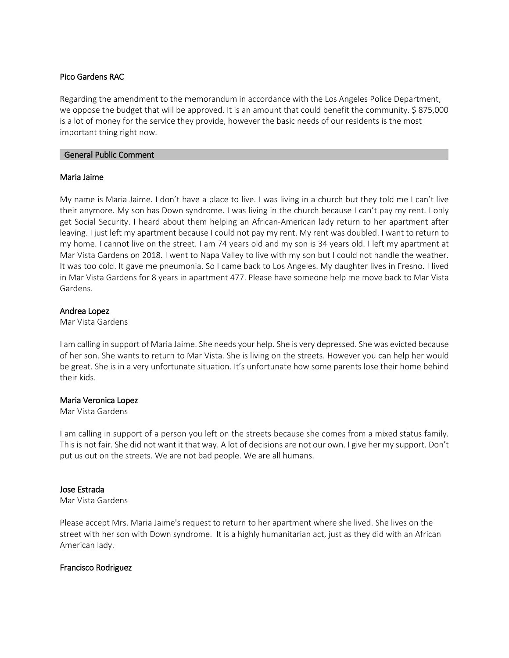#### Pico Gardens RAC

Regarding the amendment to the memorandum in accordance with the Los Angeles Police Department, we oppose the budget that will be approved. It is an amount that could benefit the community. \$ 875,000 is a lot of money for the service they provide, however the basic needs of our residents is the most important thing right now.

#### General Public Comment

#### Maria Jaime

My name is Maria Jaime. I don't have a place to live. I was living in a church but they told me I can't live their anymore. My son has Down syndrome. I was living in the church because I can't pay my rent. I only get Social Security. I heard about them helping an African-American lady return to her apartment after leaving. I just left my apartment because I could not pay my rent. My rent was doubled. I want to return to my home. I cannot live on the street. I am 74 years old and my son is 34 years old. I left my apartment at Mar Vista Gardens on 2018. I went to Napa Valley to live with my son but I could not handle the weather. It was too cold. It gave me pneumonia. So I came back to Los Angeles. My daughter lives in Fresno. I lived in Mar Vista Gardens for 8 years in apartment 477. Please have someone help me move back to Mar Vista Gardens.

## Andrea Lopez

Mar Vista Gardens

I am calling in support of Maria Jaime. She needs your help. She is very depressed. She was evicted because of her son. She wants to return to Mar Vista. She is living on the streets. However you can help her would be great. She is in a very unfortunate situation. It's unfortunate how some parents lose their home behind their kids.

## Maria Veronica Lopez

Mar Vista Gardens

I am calling in support of a person you left on the streets because she comes from a mixed status family. This is not fair. She did not want it that way. A lot of decisions are not our own. I give her my support. Don't put us out on the streets. We are not bad people. We are all humans.

## Jose Estrada

Mar Vista Gardens

Please accept Mrs. Maria Jaime's request to return to her apartment where she lived. She lives on the street with her son with Down syndrome. It is a highly humanitarian act, just as they did with an African American lady.

## Francisco Rodriguez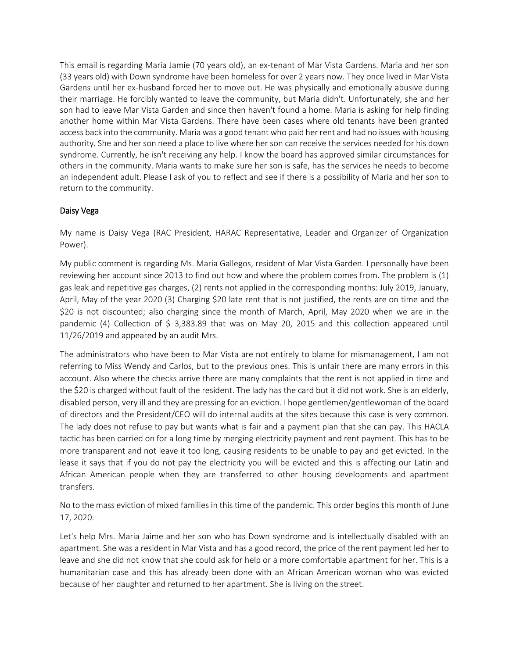This email is regarding Maria Jamie (70 years old), an ex-tenant of Mar Vista Gardens. Maria and her son (33 years old) with Down syndrome have been homeless for over 2 years now. They once lived in Mar Vista Gardens until her ex-husband forced her to move out. He was physically and emotionally abusive during their marriage. He forcibly wanted to leave the community, but Maria didn't. Unfortunately, she and her son had to leave Mar Vista Garden and since then haven't found a home. Maria is asking for help finding another home within Mar Vista Gardens. There have been cases where old tenants have been granted access back into the community. Maria was a good tenant who paid her rent and had no issues with housing authority. She and her son need a place to live where her son can receive the services needed for his down syndrome. Currently, he isn't receiving any help. I know the board has approved similar circumstances for others in the community. Maria wants to make sure her son is safe, has the services he needs to become an independent adult. Please I ask of you to reflect and see if there is a possibility of Maria and her son to return to the community.

# Daisy Vega

My name is Daisy Vega (RAC President, HARAC Representative, Leader and Organizer of Organization Power).

My public comment is regarding Ms. Maria Gallegos, resident of Mar Vista Garden. I personally have been reviewing her account since 2013 to find out how and where the problem comes from. The problem is (1) gas leak and repetitive gas charges, (2) rents not applied in the corresponding months: July 2019, January, April, May of the year 2020 (3) Charging \$20 late rent that is not justified, the rents are on time and the \$20 is not discounted; also charging since the month of March, April, May 2020 when we are in the pandemic (4) Collection of \$ 3,383.89 that was on May 20, 2015 and this collection appeared until 11/26/2019 and appeared by an audit Mrs.

The administrators who have been to Mar Vista are not entirely to blame for mismanagement, I am not referring to Miss Wendy and Carlos, but to the previous ones. This is unfair there are many errors in this account. Also where the checks arrive there are many complaints that the rent is not applied in time and the \$20 is charged without fault of the resident. The lady has the card but it did not work. She is an elderly, disabled person, very ill and they are pressing for an eviction. I hope gentlemen/gentlewoman of the board of directors and the President/CEO will do internal audits at the sites because this case is very common. The lady does not refuse to pay but wants what is fair and a payment plan that she can pay. This HACLA tactic has been carried on for a long time by merging electricity payment and rent payment. This has to be more transparent and not leave it too long, causing residents to be unable to pay and get evicted. In the lease it says that if you do not pay the electricity you will be evicted and this is affecting our Latin and African American people when they are transferred to other housing developments and apartment transfers.

No to the mass eviction of mixed families in this time of the pandemic. This order begins this month of June 17, 2020.

Let's help Mrs. Maria Jaime and her son who has Down syndrome and is intellectually disabled with an apartment. She was a resident in Mar Vista and has a good record, the price of the rent payment led her to leave and she did not know that she could ask for help or a more comfortable apartment for her. This is a humanitarian case and this has already been done with an African American woman who was evicted because of her daughter and returned to her apartment. She is living on the street.